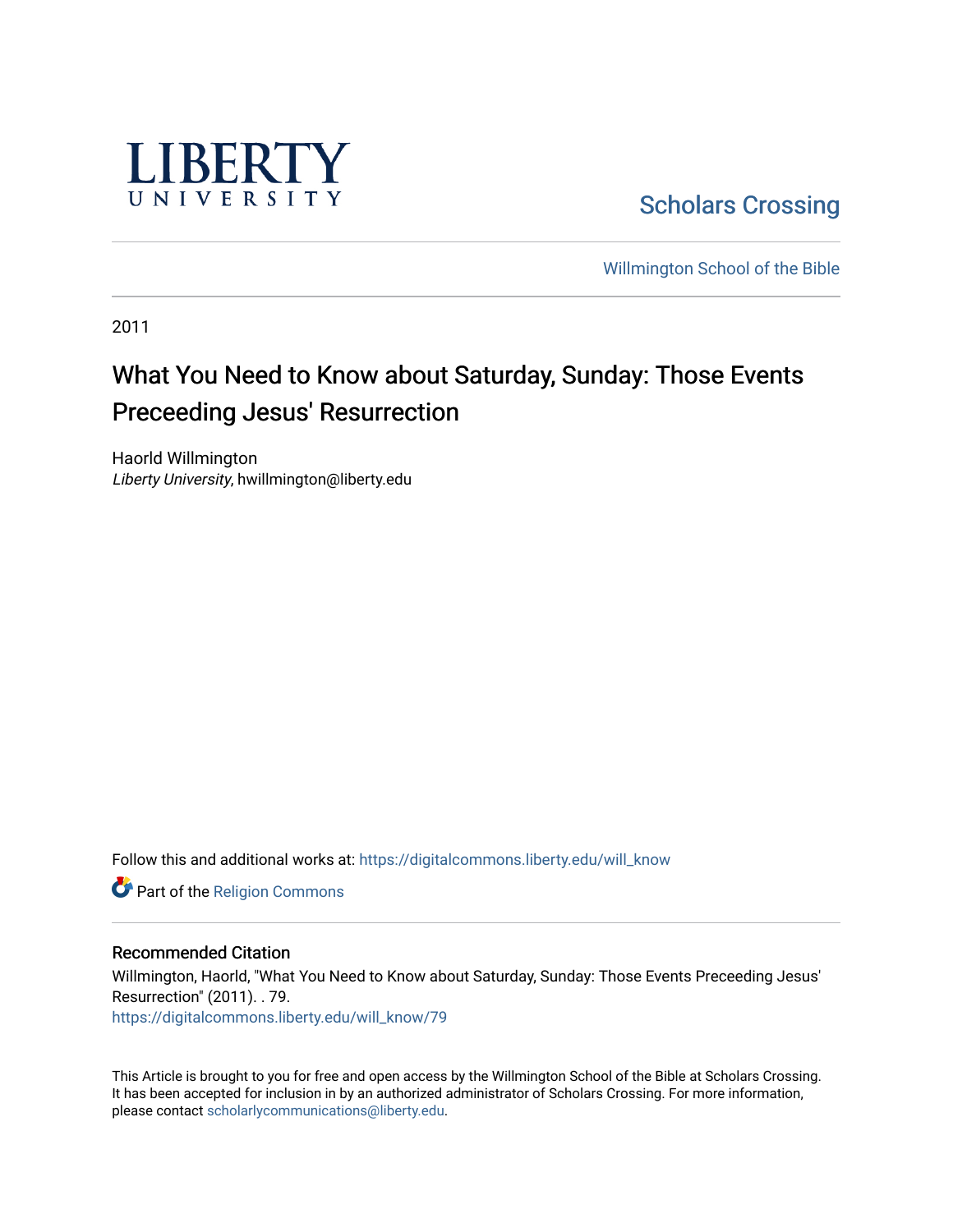

[Scholars Crossing](https://digitalcommons.liberty.edu/) 

[Willmington School of the Bible](https://digitalcommons.liberty.edu/will_bible) 

2011

## What You Need to Know about Saturday, Sunday: Those Events Preceeding Jesus' Resurrection

Haorld Willmington Liberty University, hwillmington@liberty.edu

Follow this and additional works at: [https://digitalcommons.liberty.edu/will\\_know](https://digitalcommons.liberty.edu/will_know?utm_source=digitalcommons.liberty.edu%2Fwill_know%2F79&utm_medium=PDF&utm_campaign=PDFCoverPages)

Part of the [Religion Commons](http://network.bepress.com/hgg/discipline/538?utm_source=digitalcommons.liberty.edu%2Fwill_know%2F79&utm_medium=PDF&utm_campaign=PDFCoverPages)

## Recommended Citation

Willmington, Haorld, "What You Need to Know about Saturday, Sunday: Those Events Preceeding Jesus' Resurrection" (2011). . 79.

[https://digitalcommons.liberty.edu/will\\_know/79](https://digitalcommons.liberty.edu/will_know/79?utm_source=digitalcommons.liberty.edu%2Fwill_know%2F79&utm_medium=PDF&utm_campaign=PDFCoverPages) 

This Article is brought to you for free and open access by the Willmington School of the Bible at Scholars Crossing. It has been accepted for inclusion in by an authorized administrator of Scholars Crossing. For more information, please contact [scholarlycommunications@liberty.edu.](mailto:scholarlycommunications@liberty.edu)